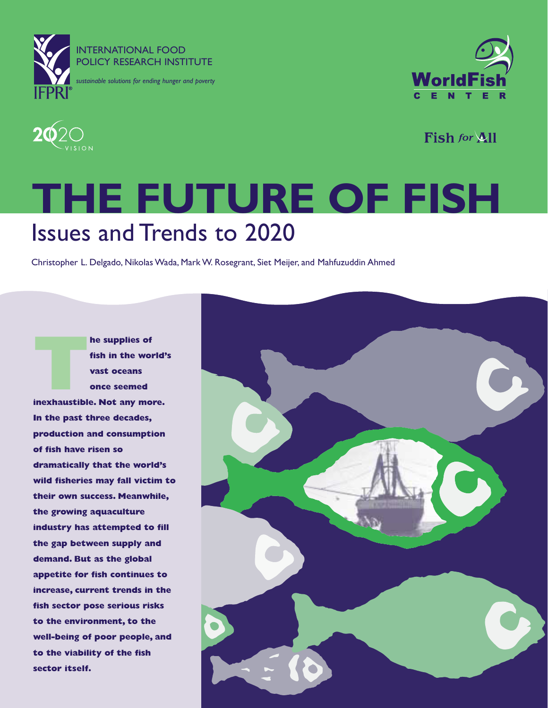





Fish for All

## **THE FUTURE OF FISH** Issues and Trends to 2020

Christopher L. Delgado, Nikolas Wada, Mark W. Rosegrant, Siet Meijer, and Mahfuzuddin Ahmed

**IMPLEM**<br> **INSPERIENT SIMPLEM**<br> **INSPERIENT SIMPLEM**<br> **INSPERIENT SIMPLEM**<br> **inexhaustible. Not any more. fish in the world's vast oceans once seemed In the past three decades, production and consumption of fish have risen so dramatically that the world's wild fisheries may fall victim to their own success. Meanwhile, the growing aquaculture industry has attempted to fill the gap between supply and demand. But as the global appetite for fish continues to increase, current trends in the fish sector pose serious risks to the environment, to the well-being of poor people, and to the viability of the fish sector itself.**

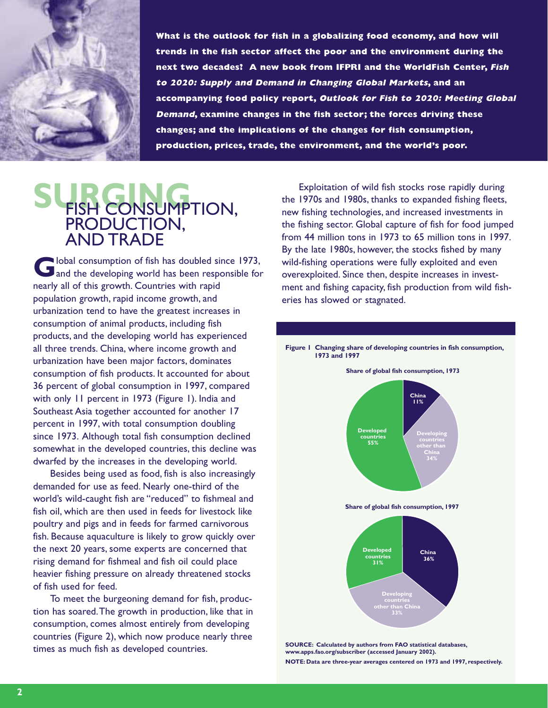

**What is the outlook for fish in a globalizing food economy, and how will trends in the fish sector affect the poor and the environment during the next two decades? A new book from IFPRI and the WorldFish Center, Fish to 2020: Supply and Demand in Changing Global Markets, and an accompanying food policy report, Outlook for Fish to 2020: Meeting Global Demand, examine changes in the fish sector; the forces driving these changes; and the implications of the changes for fish consumption, production, prices, trade, the environment, and the world's poor.**

### SURGONSUMPTION, PRODUCTION, AND TRADE

**G**lobal consumption of fish has doubled since 1973,<br>and the developing world has been responsible for nearly all of this growth. Countries with rapid population growth, rapid income growth, and urbanization tend to have the greatest increases in consumption of animal products, including fish products, and the developing world has experienced all three trends. China, where income growth and urbanization have been major factors, dominates consumption of fish products. It accounted for about 36 percent of global consumption in 1997, compared with only 11 percent in 1973 (Figure 1). India and Southeast Asia together accounted for another 17 percent in 1997, with total consumption doubling since 1973. Although total fish consumption declined somewhat in the developed countries, this decline was dwarfed by the increases in the developing world.

Besides being used as food, fish is also increasingly demanded for use as feed. Nearly one-third of the world's wild-caught fish are "reduced" to fishmeal and fish oil, which are then used in feeds for livestock like poultry and pigs and in feeds for farmed carnivorous fish. Because aquaculture is likely to grow quickly over the next 20 years, some experts are concerned that rising demand for fishmeal and fish oil could place heavier fishing pressure on already threatened stocks of fish used for feed.

To meet the burgeoning demand for fish, production has soared.The growth in production, like that in consumption, comes almost entirely from developing countries (Figure 2), which now produce nearly three times as much fish as developed countries.

Exploitation of wild fish stocks rose rapidly during the 1970s and 1980s, thanks to expanded fishing fleets, new fishing technologies, and increased investments in the fishing sector. Global capture of fish for food jumped from 44 million tons in 1973 to 65 million tons in 1997. By the late 1980s, however, the stocks fished by many wild-fishing operations were fully exploited and even overexploited. Since then, despite increases in investment and fishing capacity, fish production from wild fisheries has slowed or stagnated.



**SOURCE: Calculated by authors from FAO statistical databases, www.apps.fao.org/subscriber (accessed January 2002). NOTE: Data are three-year averages centered on 1973 and 1997, respectively.**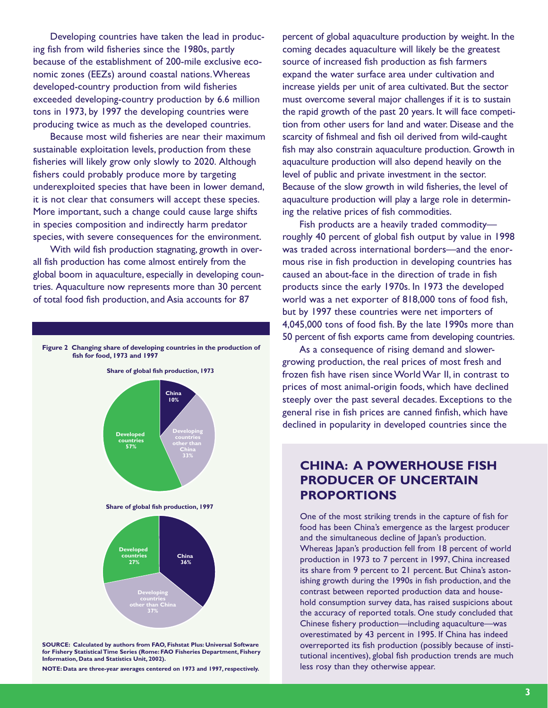Developing countries have taken the lead in producing fish from wild fisheries since the 1980s, partly because of the establishment of 200-mile exclusive economic zones (EEZs) around coastal nations.Whereas developed-country production from wild fisheries exceeded developing-country production by 6.6 million tons in 1973, by 1997 the developing countries were producing twice as much as the developed countries.

Because most wild fisheries are near their maximum sustainable exploitation levels, production from these fisheries will likely grow only slowly to 2020. Although fishers could probably produce more by targeting underexploited species that have been in lower demand, it is not clear that consumers will accept these species. More important, such a change could cause large shifts in species composition and indirectly harm predator species, with severe consequences for the environment.

With wild fish production stagnating, growth in overall fish production has come almost entirely from the global boom in aquaculture, especially in developing countries. Aquaculture now represents more than 30 percent of total food fish production, and Asia accounts for 87



**SOURCE: Calculated by authors from FAO, Fishstat Plus: Universal Software for Fishery Statistical Time Series (Rome: FAO Fisheries Department, Fishery Information, Data and Statistics Unit, 2002).**

**NOTE: Data are three-year averages centered on 1973 and 1997, respectively.**

percent of global aquaculture production by weight. In the coming decades aquaculture will likely be the greatest source of increased fish production as fish farmers expand the water surface area under cultivation and increase yields per unit of area cultivated. But the sector must overcome several major challenges if it is to sustain the rapid growth of the past 20 years. It will face competition from other users for land and water. Disease and the scarcity of fishmeal and fish oil derived from wild-caught fish may also constrain aquaculture production. Growth in aquaculture production will also depend heavily on the level of public and private investment in the sector. Because of the slow growth in wild fisheries, the level of aquaculture production will play a large role in determining the relative prices of fish commodities.

Fish products are a heavily traded commodity roughly 40 percent of global fish output by value in 1998 was traded across international borders—and the enormous rise in fish production in developing countries has caused an about-face in the direction of trade in fish products since the early 1970s. In 1973 the developed world was a net exporter of 818,000 tons of food fish, but by 1997 these countries were net importers of 4,045,000 tons of food fish. By the late 1990s more than 50 percent of fish exports came from developing countries.

As a consequence of rising demand and slowergrowing production, the real prices of most fresh and frozen fish have risen since World War II, in contrast to prices of most animal-origin foods, which have declined steeply over the past several decades. Exceptions to the general rise in fish prices are canned finfish, which have declined in popularity in developed countries since the

### **CHINA: A POWERHOUSE FISH PRODUCER OF UNCERTAIN PROPORTIONS**

One of the most striking trends in the capture of fish for food has been China's emergence as the largest producer and the simultaneous decline of Japan's production. Whereas Japan's production fell from 18 percent of world production in 1973 to 7 percent in 1997, China increased its share from 9 percent to 21 percent. But China's astonishing growth during the 1990s in fish production, and the contrast between reported production data and household consumption survey data, has raised suspicions about the accuracy of reported totals. One study concluded that Chinese fishery production—including aquaculture—was overestimated by 43 percent in 1995. If China has indeed overreported its fish production (possibly because of institutional incentives), global fish production trends are much less rosy than they otherwise appear.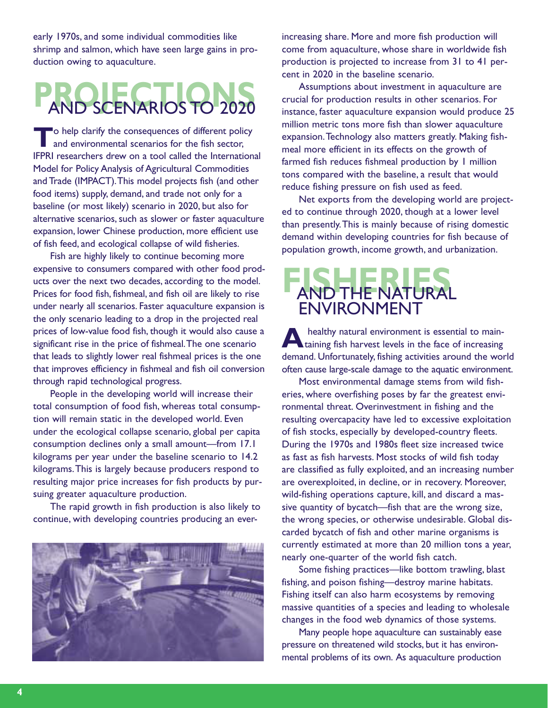early 1970s, and some individual commodities like shrimp and salmon, which have seen large gains in production owing to aquaculture.

# **PROJECTIONS** AND SCENARIOS TO 2020

**The consequences of different policy**<br>and environmental scenarios for the fish sector, IFPRI researchers drew on a tool called the International Model for Policy Analysis of Agricultural Commodities and Trade (IMPACT).This model projects fish (and other food items) supply, demand, and trade not only for a baseline (or most likely) scenario in 2020, but also for alternative scenarios, such as slower or faster aquaculture expansion, lower Chinese production, more efficient use of fish feed, and ecological collapse of wild fisheries.

Fish are highly likely to continue becoming more expensive to consumers compared with other food products over the next two decades, according to the model. Prices for food fish, fishmeal, and fish oil are likely to rise under nearly all scenarios. Faster aquaculture expansion is the only scenario leading to a drop in the projected real prices of low-value food fish, though it would also cause a significant rise in the price of fishmeal.The one scenario that leads to slightly lower real fishmeal prices is the one that improves efficiency in fishmeal and fish oil conversion through rapid technological progress.

People in the developing world will increase their total consumption of food fish, whereas total consumption will remain static in the developed world. Even under the ecological collapse scenario, global per capita consumption declines only a small amount—from 17.1 kilograms per year under the baseline scenario to 14.2 kilograms.This is largely because producers respond to resulting major price increases for fish products by pursuing greater aquaculture production.

The rapid growth in fish production is also likely to continue, with developing countries producing an ever-



increasing share. More and more fish production will come from aquaculture, whose share in worldwide fish production is projected to increase from 31 to 41 percent in 2020 in the baseline scenario.

Assumptions about investment in aquaculture are crucial for production results in other scenarios. For instance, faster aquaculture expansion would produce 25 million metric tons more fish than slower aquaculture expansion.Technology also matters greatly. Making fishmeal more efficient in its effects on the growth of farmed fish reduces fishmeal production by 1 million tons compared with the baseline, a result that would reduce fishing pressure on fish used as feed.

Net exports from the developing world are projected to continue through 2020, though at a lower level than presently.This is mainly because of rising domestic demand within developing countries for fish because of population growth, income growth, and urbanization.

### **FISHERIES** AND THE NATURAL ENVIRONMENT

**A** healthy natural environment is essential to main-<br>taining fish harvest levels in the face of increasing demand. Unfortunately, fishing activities around the world often cause large-scale damage to the aquatic environment.

Most environmental damage stems from wild fisheries, where overfishing poses by far the greatest environmental threat. Overinvestment in fishing and the resulting overcapacity have led to excessive exploitation of fish stocks, especially by developed-country fleets. During the 1970s and 1980s fleet size increased twice as fast as fish harvests. Most stocks of wild fish today are classified as fully exploited, and an increasing number are overexploited, in decline, or in recovery. Moreover, wild-fishing operations capture, kill, and discard a massive quantity of bycatch—fish that are the wrong size, the wrong species, or otherwise undesirable. Global discarded bycatch of fish and other marine organisms is currently estimated at more than 20 million tons a year, nearly one-quarter of the world fish catch.

Some fishing practices—like bottom trawling, blast fishing, and poison fishing—destroy marine habitats. Fishing itself can also harm ecosystems by removing massive quantities of a species and leading to wholesale changes in the food web dynamics of those systems.

Many people hope aquaculture can sustainably ease pressure on threatened wild stocks, but it has environmental problems of its own. As aquaculture production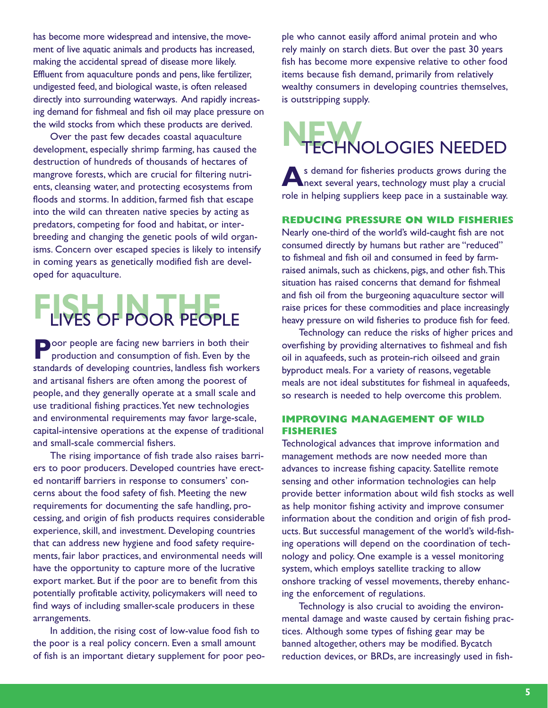has become more widespread and intensive, the movement of live aquatic animals and products has increased, making the accidental spread of disease more likely. Effluent from aquaculture ponds and pens, like fertilizer, undigested feed, and biological waste, is often released directly into surrounding waterways. And rapidly increasing demand for fishmeal and fish oil may place pressure on the wild stocks from which these products are derived.

Over the past few decades coastal aquaculture development, especially shrimp farming, has caused the destruction of hundreds of thousands of hectares of mangrove forests, which are crucial for filtering nutrients, cleansing water, and protecting ecosystems from floods and storms. In addition, farmed fish that escape into the wild can threaten native species by acting as predators, competing for food and habitat, or interbreeding and changing the genetic pools of wild organisms. Concern over escaped species is likely to intensify in coming years as genetically modified fish are developed for aquaculture.

## **FIVES OF POOR PEOPLE**

**Poor people are facing new barriers in both their** production and consumption of fish. Even by the standards of developing countries, landless fish workers and artisanal fishers are often among the poorest of people, and they generally operate at a small scale and use traditional fishing practices.Yet new technologies and environmental requirements may favor large-scale, capital-intensive operations at the expense of traditional and small-scale commercial fishers.

The rising importance of fish trade also raises barriers to poor producers. Developed countries have erected nontariff barriers in response to consumers' concerns about the food safety of fish. Meeting the new requirements for documenting the safe handling, processing, and origin of fish products requires considerable experience, skill, and investment. Developing countries that can address new hygiene and food safety requirements, fair labor practices, and environmental needs will have the opportunity to capture more of the lucrative export market. But if the poor are to benefit from this potentially profitable activity, policymakers will need to find ways of including smaller-scale producers in these arrangements.

In addition, the rising cost of low-value food fish to the poor is a real policy concern. Even a small amount of fish is an important dietary supplement for poor peo-

ple who cannot easily afford animal protein and who rely mainly on starch diets. But over the past 30 years fish has become more expensive relative to other food items because fish demand, primarily from relatively wealthy consumers in developing countries themselves, is outstripping supply.

# **NEW**TECHNOLOGIES NEEDED

s demand for fisheries products grows during the<br>next several years, technology must play a crucial role in helping suppliers keep pace in a sustainable way.

#### **REDUCING PRESSURE ON WILD FISHERIES**

Nearly one-third of the world's wild-caught fish are not consumed directly by humans but rather are "reduced" to fishmeal and fish oil and consumed in feed by farmraised animals, such as chickens, pigs, and other fish.This situation has raised concerns that demand for fishmeal and fish oil from the burgeoning aquaculture sector will raise prices for these commodities and place increasingly heavy pressure on wild fisheries to produce fish for feed.

Technology can reduce the risks of higher prices and overfishing by providing alternatives to fishmeal and fish oil in aquafeeds, such as protein-rich oilseed and grain byproduct meals. For a variety of reasons, vegetable meals are not ideal substitutes for fishmeal in aquafeeds, so research is needed to help overcome this problem.

#### **IMPROVING MANAGEMENT OF WILD FISHERIES**

Technological advances that improve information and management methods are now needed more than advances to increase fishing capacity. Satellite remote sensing and other information technologies can help provide better information about wild fish stocks as well as help monitor fishing activity and improve consumer information about the condition and origin of fish products. But successful management of the world's wild-fishing operations will depend on the coordination of technology and policy. One example is a vessel monitoring system, which employs satellite tracking to allow onshore tracking of vessel movements, thereby enhancing the enforcement of regulations.

Technology is also crucial to avoiding the environmental damage and waste caused by certain fishing practices. Although some types of fishing gear may be banned altogether, others may be modified. Bycatch reduction devices, or BRDs, are increasingly used in fish